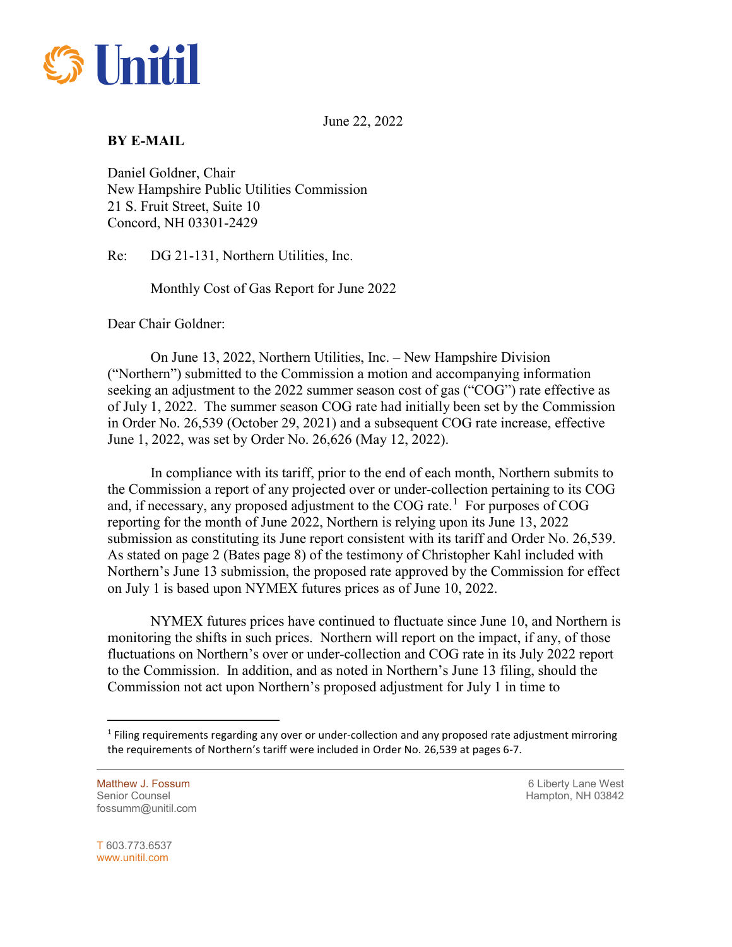

June 22, 2022

## **BY E-MAIL**

Daniel Goldner, Chair New Hampshire Public Utilities Commission 21 S. Fruit Street, Suite 10 Concord, NH 03301-2429

Re: DG 21-131, Northern Utilities, Inc.

Monthly Cost of Gas Report for June 2022

Dear Chair Goldner:

On June 13, 2022, Northern Utilities, Inc. – New Hampshire Division ("Northern") submitted to the Commission a motion and accompanying information seeking an adjustment to the 2022 summer season cost of gas ("COG") rate effective as of July 1, 2022. The summer season COG rate had initially been set by the Commission in Order No. 26,539 (October 29, 2021) and a subsequent COG rate increase, effective June 1, 2022, was set by Order No. 26,626 (May 12, 2022).

In compliance with its tariff, prior to the end of each month, Northern submits to the Commission a report of any projected over or under-collection pertaining to its COG and, if necessary, any proposed adjustment to the COG rate.<sup>[1](#page-0-0)</sup> For purposes of COG reporting for the month of June 2022, Northern is relying upon its June 13, 2022 submission as constituting its June report consistent with its tariff and Order No. 26,539. As stated on page 2 (Bates page 8) of the testimony of Christopher Kahl included with Northern's June 13 submission, the proposed rate approved by the Commission for effect on July 1 is based upon NYMEX futures prices as of June 10, 2022.

NYMEX futures prices have continued to fluctuate since June 10, and Northern is monitoring the shifts in such prices. Northern will report on the impact, if any, of those fluctuations on Northern's over or under-collection and COG rate in its July 2022 report to the Commission. In addition, and as noted in Northern's June 13 filing, should the Commission not act upon Northern's proposed adjustment for July 1 in time to

Senior Counsel New York 1988 and the Senior Counsel Hampton, NH 03842 fossumm@unitil.com

Matthew J. Fossum **6 Liberty Lane West 6 Liberty Lane West** 

T 603.773.6537 www.unitil.com

<span id="page-0-0"></span> $\overline{a}$ 

 $<sup>1</sup>$  Filing requirements regarding any over or under-collection and any proposed rate adjustment mirroring</sup> the requirements of Northern's tariff were included in Order No. 26,539 at pages 6-7.